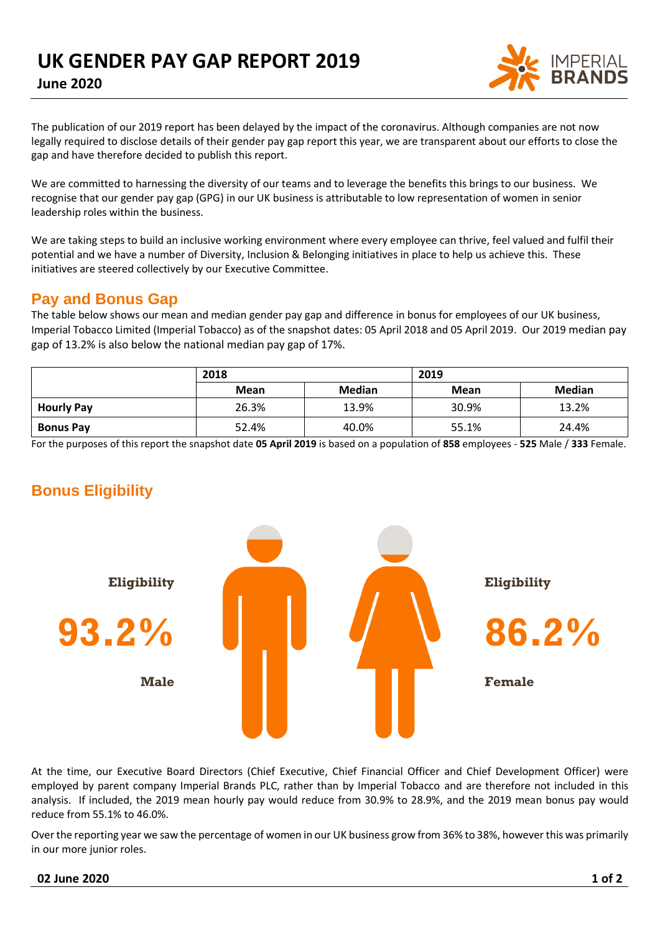

The publication of our 2019 report has been delayed by the impact of the coronavirus. Although companies are not now legally required to disclose details of their gender pay gap report this year, we are transparent about our efforts to close the gap and have therefore decided to publish this report.

We are committed to harnessing the diversity of our teams and to leverage the benefits this brings to our business. We recognise that our gender pay gap (GPG) in our UK business is attributable to low representation of women in senior leadership roles within the business.

We are taking steps to build an inclusive working environment where every employee can thrive, feel valued and fulfil their potential and we have a number of Diversity, Inclusion & Belonging initiatives in place to help us achieve this. These initiatives are steered collectively by our Executive Committee.

### **Pay and Bonus Gap**

The table below shows our mean and median gender pay gap and difference in bonus for employees of our UK business, Imperial Tobacco Limited (Imperial Tobacco) as of the snapshot dates: 05 April 2018 and 05 April 2019. Our 2019 median pay gap of 13.2% is also below the national median pay gap of 17%.

|                   | 2018        |               | 2019        |               |
|-------------------|-------------|---------------|-------------|---------------|
|                   | <b>Mean</b> | <b>Median</b> | <b>Mean</b> | <b>Median</b> |
| <b>Hourly Pay</b> | 26.3%       | 13.9%         | 30.9%       | 13.2%         |
| <b>Bonus Pay</b>  | 52.4%       | 40.0%         | 55.1%       | 24.4%         |

For the purposes of this report the snapshot date **05 April 2019** is based on a population of **858** employees - **525** Male / **333** Female.

## **Bonus Eligibility**



At the time, our Executive Board Directors (Chief Executive, Chief Financial Officer and Chief Development Officer) were employed by parent company Imperial Brands PLC, rather than by Imperial Tobacco and are therefore not included in this analysis. If included, the 2019 mean hourly pay would reduce from 30.9% to 28.9%, and the 2019 mean bonus pay would reduce from 55.1% to 46.0%.

Over the reporting year we saw the percentage of women in our UK business grow from 36% to 38%, however this was primarily in our more junior roles.

#### **02 June 2020 1 of 2**